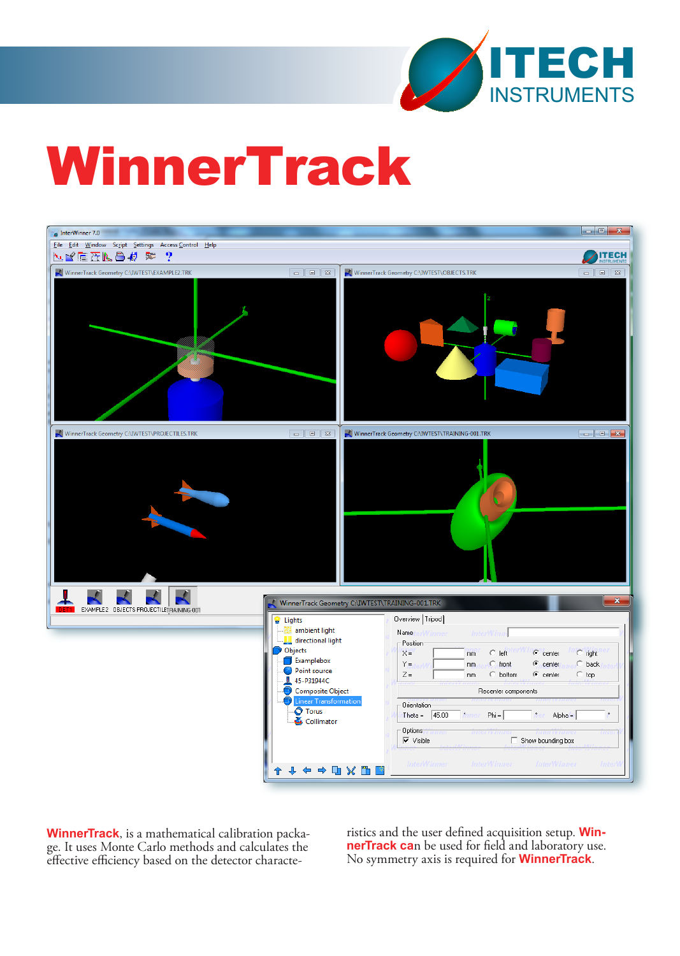

# **WinnerTrack**



**WinnerTrack**, is a mathematical calibration package. It uses Monte Carlo methods and calculates the effective efficiency based on the detector characte

ristics and the user defined acquisition setup. **WinnerTrack ca**n be used for field and laboratory use. No symmetry axis is required for **WinnerTrack**.